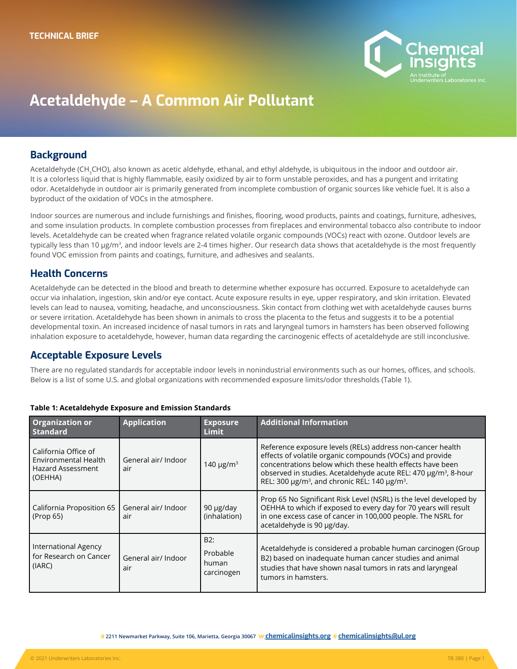

# Acetaldehyde – A Common Air Pollutant

### **Background**

Acetaldehyde (CH<sub>3</sub>CHO), also known as acetic aldehyde, ethanal, and ethyl aldehyde, is ubiquitous in the indoor and outdoor air. It is a colorless liquid that is highly flammable, easily oxidized by air to form unstable peroxides, and has a pungent and irritating odor. Acetaldehyde in outdoor air is primarily generated from incomplete combustion of organic sources like vehicle fuel. It is also a byproduct of the oxidation of VOCs in the atmosphere.

Indoor sources are numerous and include furnishings and finishes, flooring, wood products, paints and coatings, furniture, adhesives, and some insulation products. In complete combustion processes from fireplaces and environmental tobacco also contribute to indoor levels. Acetaldehyde can be created when fragrance related volatile organic compounds (VOCs) react with ozone. Outdoor levels are typically less than 10 μg/m<sup>3</sup>, and indoor levels are 2-4 times higher. Our research data shows that acetaldehyde is the most frequently found VOC emission from paints and coatings, furniture, and adhesives and sealants.

## Health Concerns

Acetaldehyde can be detected in the blood and breath to determine whether exposure has occurred. Exposure to acetaldehyde can occur via inhalation, ingestion, skin and/or eye contact. Acute exposure results in eye, upper respiratory, and skin irritation. Elevated levels can lead to nausea, vomiting, headache, and unconsciousness. Skin contact from clothing wet with acetaldehyde causes burns or severe irritation. Acetaldehyde has been shown in animals to cross the placenta to the fetus and suggests it to be a potential developmental toxin. An increased incidence of nasal tumors in rats and laryngeal tumors in hamsters has been observed following inhalation exposure to acetaldehyde, however, human data regarding the carcinogenic effects of acetaldehyde are still inconclusive.

#### Acceptable Exposure Levels

There are no regulated standards for acceptable indoor levels in nonindustrial environments such as our homes, offices, and schools. Below is a list of some U.S. and global organizations with recommended exposure limits/odor thresholds (Table 1).

| <b>Organization or</b><br><b>Standard</b>                                           | <b>Application</b>         | <b>Exposure</b><br>Limit               | <b>Additional Information</b>                                                                                                                                                                                                                                                                                                                         |
|-------------------------------------------------------------------------------------|----------------------------|----------------------------------------|-------------------------------------------------------------------------------------------------------------------------------------------------------------------------------------------------------------------------------------------------------------------------------------------------------------------------------------------------------|
| California Office of<br>Environmental Health<br><b>Hazard Assessment</b><br>(OEHHA) | General air/ Indoor<br>air | 140 $\mu$ g/m <sup>3</sup>             | Reference exposure levels (RELs) address non-cancer health<br>effects of volatile organic compounds (VOCs) and provide<br>concentrations below which these health effects have been<br>observed in studies. Acetaldehyde acute REL: 470 µg/m <sup>3</sup> , 8-hour<br>REL: 300 $\mu$ g/m <sup>3</sup> , and chronic REL: 140 $\mu$ g/m <sup>3</sup> . |
| California Proposition 65<br>(Prop 65)                                              | General air/ Indoor<br>air | 90 µg/day<br>(inhalation)              | Prop 65 No Significant Risk Level (NSRL) is the level developed by<br>OEHHA to which if exposed to every day for 70 years will result<br>in one excess case of cancer in 100,000 people. The NSRL for<br>acetaldehyde is 90 µg/day.                                                                                                                   |
| <b>International Agency</b><br>for Research on Cancer<br>(IARC)                     | General air/ Indoor<br>air | B2:<br>Probable<br>human<br>carcinogen | Acetaldehyde is considered a probable human carcinogen (Group<br>B2) based on inadequate human cancer studies and animal<br>studies that have shown nasal tumors in rats and laryngeal<br>tumors in hamsters.                                                                                                                                         |

#### **Table 1: Acetaldehyde Exposure and Emission Standards**